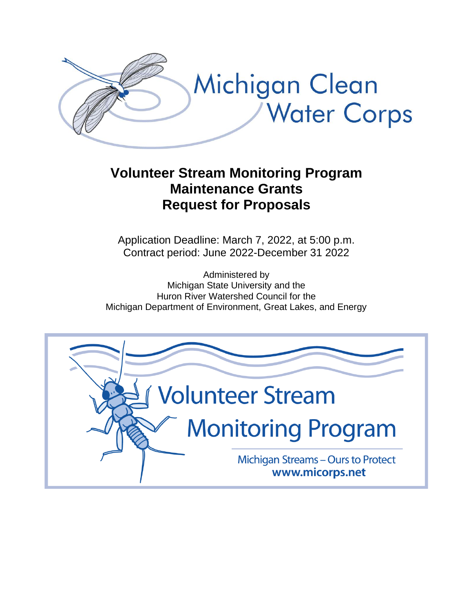

# **Volunteer Stream Monitoring Program Maintenance Grants Request for Proposals**

Application Deadline: March 7, 2022, at 5:00 p.m. Contract period: June 2022-December 31 2022

Administered by Michigan State University and the Huron River Watershed Council for the Michigan Department of Environment, Great Lakes, and Energy

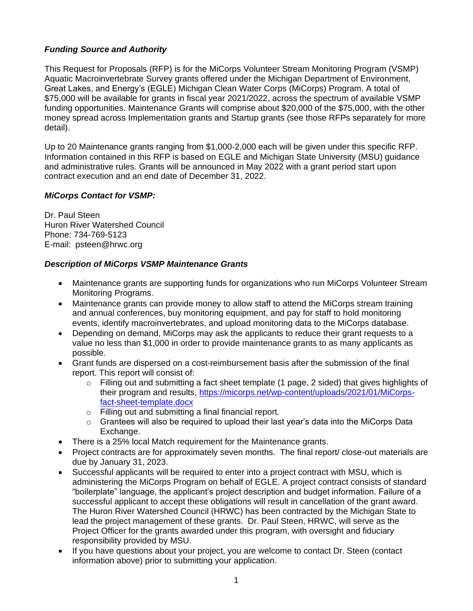## *Funding Source and Authority*

This Request for Proposals (RFP) is for the MiCorps Volunteer Stream Monitoring Program (VSMP) Aquatic Macroinvertebrate Survey grants offered under the Michigan Department of Environment, Great Lakes, and Energy's (EGLE) Michigan Clean Water Corps (MiCorps) Program. A total of \$75,000 will be available for grants in fiscal year 2021/2022, across the spectrum of available VSMP funding opportunities. Maintenance Grants will comprise about \$20,000 of the \$75,000, with the other money spread across Implementation grants and Startup grants (see those RFPs separately for more detail).

Up to 20 Maintenance grants ranging from \$1,000-2,000 each will be given under this specific RFP. Information contained in this RFP is based on EGLE and Michigan State University (MSU) guidance and administrative rules. Grants will be announced in May 2022 with a grant period start upon contract execution and an end date of December 31, 2022.

#### *MiCorps Contact for VSMP:*

Dr. Paul Steen Huron River Watershed Council Phone: 734-769-5123 E-mail: psteen@hrwc.org

#### *Description of MiCorps VSMP Maintenance Grants*

- Maintenance grants are supporting funds for organizations who run MiCorps Volunteer Stream Monitoring Programs.
- Maintenance grants can provide money to allow staff to attend the MiCorps stream training and annual conferences, buy monitoring equipment, and pay for staff to hold monitoring events, identify macroinvertebrates, and upload monitoring data to the MiCorps database.
- Depending on demand, MiCorps may ask the applicants to reduce their grant requests to a value no less than \$1,000 in order to provide maintenance grants to as many applicants as possible.
- Grant funds are dispersed on a cost-reimbursement basis after the submission of the final report. This report will consist of:
	- $\circ$  Filling out and submitting a fact sheet template (1 page, 2 sided) that gives highlights of their program and results, [https://micorps.net/wp-content/uploads/2021/01/MiCorps](https://micorps.net/wp-content/uploads/2021/01/MiCorps-fact-sheet-template.docx)[fact-sheet-template.docx](https://micorps.net/wp-content/uploads/2021/01/MiCorps-fact-sheet-template.docx)
	- o Filling out and submitting a final financial report.
	- $\circ$  Grantees will also be required to upload their last year's data into the MiCorps Data Exchange.
- There is a 25% local Match requirement for the Maintenance grants.
- Project contracts are for approximately seven months. The final report/ close-out materials are due by January 31, 2023.
- Successful applicants will be required to enter into a project contract with MSU, which is administering the MiCorps Program on behalf of EGLE. A project contract consists of standard "boilerplate" language, the applicant's project description and budget information. Failure of a successful applicant to accept these obligations will result in cancellation of the grant award. The Huron River Watershed Council (HRWC) has been contracted by the Michigan State to lead the project management of these grants. Dr. Paul Steen, HRWC, will serve as the Project Officer for the grants awarded under this program, with oversight and fiduciary responsibility provided by MSU.
- If you have questions about your project, you are welcome to contact Dr. Steen (contact information above) prior to submitting your application.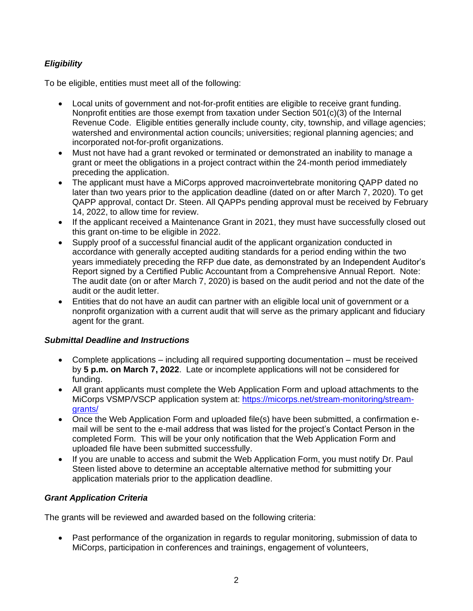## *Eligibility*

To be eligible, entities must meet all of the following:

- Local units of government and not-for-profit entities are eligible to receive grant funding. Nonprofit entities are those exempt from taxation under Section 501(c)(3) of the Internal Revenue Code. Eligible entities generally include county, city, township, and village agencies; watershed and environmental action councils; universities; regional planning agencies; and incorporated not-for-profit organizations.
- Must not have had a grant revoked or terminated or demonstrated an inability to manage a grant or meet the obligations in a project contract within the 24-month period immediately preceding the application.
- The applicant must have a MiCorps approved macroinvertebrate monitoring QAPP dated no later than two years prior to the application deadline (dated on or after March 7, 2020). To get QAPP approval, contact Dr. Steen. All QAPPs pending approval must be received by February 14, 2022, to allow time for review.
- If the applicant received a Maintenance Grant in 2021, they must have successfully closed out this grant on-time to be eligible in 2022.
- Supply proof of a successful financial audit of the applicant organization conducted in accordance with generally accepted auditing standards for a period ending within the two years immediately preceding the RFP due date, as demonstrated by an Independent Auditor's Report signed by a Certified Public Accountant from a Comprehensive Annual Report. Note: The audit date (on or after March 7, 2020) is based on the audit period and not the date of the audit or the audit letter.
- Entities that do not have an audit can partner with an eligible local unit of government or a nonprofit organization with a current audit that will serve as the primary applicant and fiduciary agent for the grant.

#### *Submittal Deadline and Instructions*

- Complete applications including all required supporting documentation must be received by **5 p.m. on March 7, 2022**.Late or incomplete applications will not be considered for funding.
- All grant applicants must complete the Web Application Form and upload attachments to the MiCorps VSMP/VSCP application system at: [https://micorps.net/stream-monitoring/stream](https://micorps.net/stream-monitoring/stream-grants/)[grants/](https://micorps.net/stream-monitoring/stream-grants/)
- Once the Web Application Form and uploaded file(s) have been submitted, a confirmation email will be sent to the e-mail address that was listed for the project's Contact Person in the completed Form. This will be your only notification that the Web Application Form and uploaded file have been submitted successfully.
- If you are unable to access and submit the Web Application Form, you must notify Dr. Paul Steen listed above to determine an acceptable alternative method for submitting your application materials prior to the application deadline.

## *Grant Application Criteria*

The grants will be reviewed and awarded based on the following criteria:

• Past performance of the organization in regards to regular monitoring, submission of data to MiCorps, participation in conferences and trainings, engagement of volunteers,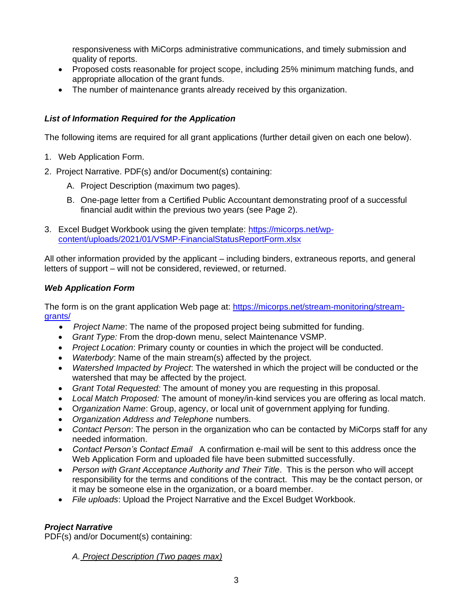responsiveness with MiCorps administrative communications, and timely submission and quality of reports.

- Proposed costs reasonable for project scope, including 25% minimum matching funds, and appropriate allocation of the grant funds.
- The number of maintenance grants already received by this organization.

## *List of Information Required for the Application*

The following items are required for all grant applications (further detail given on each one below).

- 1. Web Application Form.
- 2. Project Narrative. PDF(s) and/or Document(s) containing:
	- A. Project Description (maximum two pages).
	- B. One-page letter from a Certified Public Accountant demonstrating proof of a successful financial audit within the previous two years (see Page 2).
- 3. Excel Budget Workbook using the given template: [https://micorps.net/wp](https://micorps.net/wp-content/uploads/2021/01/VSMP-FinancialStatusReportForm.xlsx)[content/uploads/2021/01/VSMP-FinancialStatusReportForm.xlsx](https://micorps.net/wp-content/uploads/2021/01/VSMP-FinancialStatusReportForm.xlsx)

All other information provided by the applicant – including binders, extraneous reports, and general letters of support – will not be considered, reviewed, or returned.

### *Web Application Form*

The form is on the grant application Web page at: [https://micorps.net/stream-monitoring/stream](https://micorps.net/stream-monitoring/stream-grants/)[grants/](https://micorps.net/stream-monitoring/stream-grants/)

- *Project Name*: The name of the proposed project being submitted for funding.
- *Grant Type:* From the drop-down menu, select Maintenance VSMP.
- *Project Location*: Primary county or counties in which the project will be conducted.
- *Waterbody*: Name of the main stream(s) affected by the project.
- *Watershed Impacted by Project*: The watershed in which the project will be conducted or the watershed that may be affected by the project.
- *Grant Total Requested:* The amount of money you are requesting in this proposal.
- *Local Match Proposed:* The amount of money/in-kind services you are offering as local match.
- O*rganization Name*: Group, agency, or local unit of government applying for funding.
- *Organization Address and Telephone* numbers.
- *Contact Person*: The person in the organization who can be contacted by MiCorps staff for any needed information.
- *Contact Person's Contact Email* A confirmation e-mail will be sent to this address once the Web Application Form and uploaded file have been submitted successfully.
- *Person with Grant Acceptance Authority and Their Title*. This is the person who will accept responsibility for the terms and conditions of the contract. This may be the contact person, or it may be someone else in the organization, or a board member.
- *File uploads*: Upload the Project Narrative and the Excel Budget Workbook.

## *Project Narrative*

PDF(s) and/or Document(s) containing:

*A. Project Description (Two pages max)*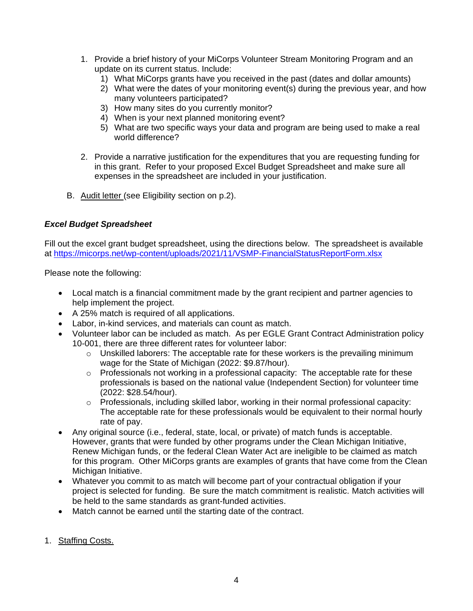- 1. Provide a brief history of your MiCorps Volunteer Stream Monitoring Program and an update on its current status. Include:
	- 1) What MiCorps grants have you received in the past (dates and dollar amounts)
	- 2) What were the dates of your monitoring event(s) during the previous year, and how many volunteers participated?
	- 3) How many sites do you currently monitor?
	- 4) When is your next planned monitoring event?
	- 5) What are two specific ways your data and program are being used to make a real world difference?
- 2. Provide a narrative justification for the expenditures that you are requesting funding for in this grant. Refer to your proposed Excel Budget Spreadsheet and make sure all expenses in the spreadsheet are included in your justification.
- B. Audit letter (see Eligibility section on p.2).

#### *Excel Budget Spreadsheet*

Fill out the excel grant budget spreadsheet, using the directions below. The spreadsheet is available at<https://micorps.net/wp-content/uploads/2021/11/VSMP-FinancialStatusReportForm.xlsx>

Please note the following:

- Local match is a financial commitment made by the grant recipient and partner agencies to help implement the project.
- A 25% match is required of all applications.
- Labor, in-kind services, and materials can count as match.
- Volunteer labor can be included as match. As per EGLE Grant Contract Administration policy 10-001, there are three different rates for volunteer labor:
	- $\circ$  Unskilled laborers: The acceptable rate for these workers is the prevailing minimum wage for the State of Michigan (2022: \$9.87/hour).
	- $\circ$  Professionals not working in a professional capacity: The acceptable rate for these professionals is based on the national value (Independent Section) for volunteer time (2022: \$28.54/hour).
	- o Professionals, including skilled labor, working in their normal professional capacity: The acceptable rate for these professionals would be equivalent to their normal hourly rate of pay.
- Any original source (i.e., federal, state, local, or private) of match funds is acceptable. However, grants that were funded by other programs under the Clean Michigan Initiative, Renew Michigan funds, or the federal Clean Water Act are ineligible to be claimed as match for this program. Other MiCorps grants are examples of grants that have come from the Clean Michigan Initiative.
- Whatever you commit to as match will become part of your contractual obligation if your project is selected for funding. Be sure the match commitment is realistic. Match activities will be held to the same standards as grant-funded activities.
- Match cannot be earned until the starting date of the contract.
- 1. Staffing Costs.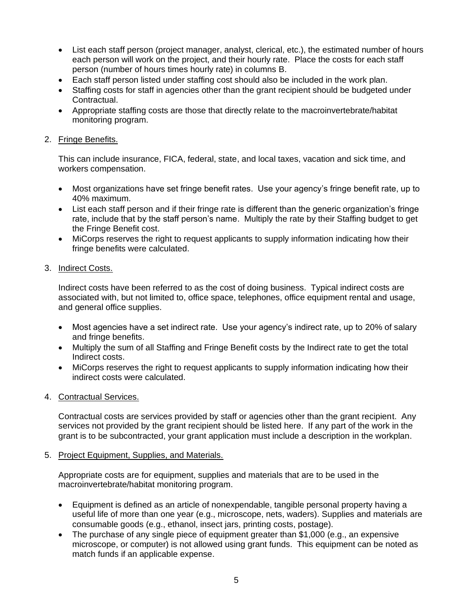- List each staff person (project manager, analyst, clerical, etc.), the estimated number of hours each person will work on the project, and their hourly rate. Place the costs for each staff person (number of hours times hourly rate) in columns B.
- Each staff person listed under staffing cost should also be included in the work plan.
- Staffing costs for staff in agencies other than the grant recipient should be budgeted under Contractual.
- Appropriate staffing costs are those that directly relate to the macroinvertebrate/habitat monitoring program.

### 2. Fringe Benefits.

This can include insurance, FICA, federal, state, and local taxes, vacation and sick time, and workers compensation.

- Most organizations have set fringe benefit rates. Use your agency's fringe benefit rate, up to 40% maximum.
- List each staff person and if their fringe rate is different than the generic organization's fringe rate, include that by the staff person's name. Multiply the rate by their Staffing budget to get the Fringe Benefit cost.
- MiCorps reserves the right to request applicants to supply information indicating how their fringe benefits were calculated.

#### 3. Indirect Costs.

Indirect costs have been referred to as the cost of doing business. Typical indirect costs are associated with, but not limited to, office space, telephones, office equipment rental and usage, and general office supplies.

- Most agencies have a set indirect rate. Use your agency's indirect rate, up to 20% of salary and fringe benefits.
- Multiply the sum of all Staffing and Fringe Benefit costs by the Indirect rate to get the total Indirect costs.
- MiCorps reserves the right to request applicants to supply information indicating how their indirect costs were calculated.

## 4. Contractual Services.

Contractual costs are services provided by staff or agencies other than the grant recipient. Any services not provided by the grant recipient should be listed here. If any part of the work in the grant is to be subcontracted, your grant application must include a description in the workplan.

#### 5. Project Equipment, Supplies, and Materials.

Appropriate costs are for equipment, supplies and materials that are to be used in the macroinvertebrate/habitat monitoring program.

- Equipment is defined as an article of nonexpendable, tangible personal property having a useful life of more than one year (e.g., microscope, nets, waders). Supplies and materials are consumable goods (e.g., ethanol, insect jars, printing costs, postage).
- The purchase of any single piece of equipment greater than \$1,000 (e.g., an expensive microscope, or computer) is not allowed using grant funds. This equipment can be noted as match funds if an applicable expense.